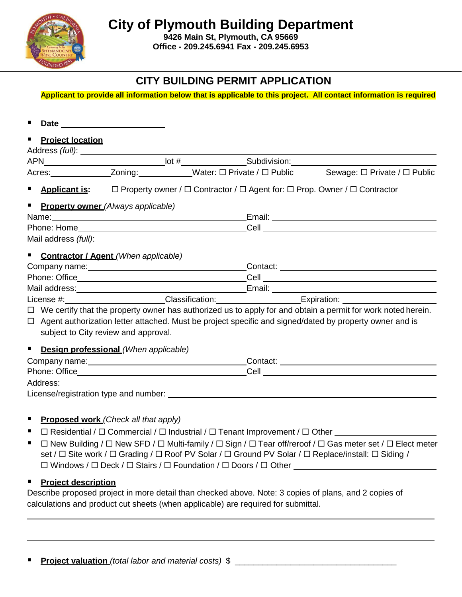**City of Plymouth Building Department**

**9426 Main St, Plymouth, CA 95669 Office - 209.245.6941 Fax - 209.245.6953**

## **CITY BUILDING PERMIT APPLICATION**

**Applicant to provide all information below that is applicable to this project. All contact information is required** 

| ٠                                     |                                                                                                                |                                                                                                                     |  |
|---------------------------------------|----------------------------------------------------------------------------------------------------------------|---------------------------------------------------------------------------------------------------------------------|--|
| ٠<br><b>Project location</b>          |                                                                                                                |                                                                                                                     |  |
|                                       |                                                                                                                |                                                                                                                     |  |
|                                       |                                                                                                                |                                                                                                                     |  |
|                                       |                                                                                                                | Acres: _______________Zoning: ____________Water: □ Private / □ Public Sewage: □ Private / □ Public                  |  |
|                                       |                                                                                                                | ■ <b>Applicant is:</b> □ Property owner / □ Contractor / □ Agent for: □ Prop. Owner / □ Contractor                  |  |
|                                       | Property owner (Always applicable)                                                                             |                                                                                                                     |  |
|                                       |                                                                                                                |                                                                                                                     |  |
|                                       |                                                                                                                |                                                                                                                     |  |
|                                       |                                                                                                                |                                                                                                                     |  |
|                                       | Contractor / Agent (When applicable)                                                                           |                                                                                                                     |  |
|                                       |                                                                                                                |                                                                                                                     |  |
|                                       |                                                                                                                |                                                                                                                     |  |
|                                       |                                                                                                                |                                                                                                                     |  |
|                                       |                                                                                                                |                                                                                                                     |  |
|                                       |                                                                                                                | $\Box$ We certify that the property owner has authorized us to apply for and obtain a permit for work noted herein. |  |
|                                       | $\Box$ Agent authorization letter attached. Must be project specific and signed/dated by property owner and is |                                                                                                                     |  |
|                                       | subject to City review and approval.                                                                           |                                                                                                                     |  |
|                                       |                                                                                                                |                                                                                                                     |  |
| $\blacksquare$                        | Design professional (When applicable)                                                                          |                                                                                                                     |  |
|                                       |                                                                                                                |                                                                                                                     |  |
|                                       |                                                                                                                |                                                                                                                     |  |
|                                       |                                                                                                                |                                                                                                                     |  |
| License/registration type and number: |                                                                                                                |                                                                                                                     |  |

#### **Proposed work** *(Check all that apply)*

- $\Box$  Residential /  $\Box$  Commercial /  $\Box$  Industrial /  $\Box$  Tenant Improvement /  $\Box$  Other
- $\blacksquare$   $\Box$  New Building /  $\Box$  New SFD /  $\Box$  Multi-family /  $\Box$  Sign /  $\Box$  Tear off/reroof /  $\Box$  Gas meter set /  $\Box$  Elect meter set /  $\Box$  Site work /  $\Box$  Grading /  $\Box$  Roof PV Solar /  $\Box$  Ground PV Solar /  $\Box$  Replace/install:  $\Box$  Siding /  $\Box$  Windows /  $\Box$  Deck /  $\Box$  Stairs /  $\Box$  Foundation /  $\Box$  Doors /  $\Box$  Other

#### **Project description**

Describe proposed project in more detail than checked above. Note: 3 copies of plans, and 2 copies of calculations and product cut sheets (when applicable) are required for submittal.

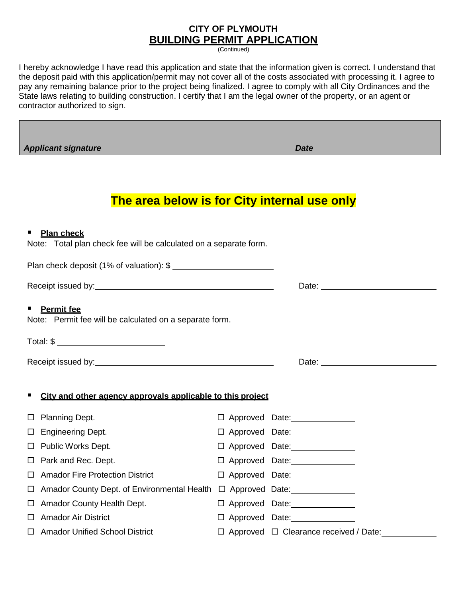### **CITY OF PLYMOUTH BUILDING PERMIT APPLICATION**

(Continued)

I hereby acknowledge I have read this application and state that the information given is correct. I understand that the deposit paid with this application/permit may not cover all of the costs associated with processing it. I agree to pay any remaining balance prior to the project being finalized. I agree to comply with all City Ordinances and the State laws relating to building construction. I certify that I am the legal owner of the property, or an agent or contractor authorized to sign.

*Applicant signature Date*

# **The area below is for City internal use only**

| ٠ | <b>Plan check</b><br>Note: Total plan check fee will be calculated on a separate form. |  |                                                  |
|---|----------------------------------------------------------------------------------------|--|--------------------------------------------------|
|   | Plan check deposit (1% of valuation): \$                                               |  |                                                  |
|   |                                                                                        |  |                                                  |
|   | <b>Permit fee</b><br>Note: Permit fee will be calculated on a separate form.           |  |                                                  |
|   | Total: \$ ____________________________                                                 |  |                                                  |
|   |                                                                                        |  | Date: <u>___________________________________</u> |
| п | City and other agency approvals applicable to this project                             |  |                                                  |
|   | $\Box$ Planning Dept.                                                                  |  | □ Approved Date: <u>_______________</u>          |
|   | $\Box$ Engineering Dept.                                                               |  | $\Box$ Approved Date: $\Box$                     |
|   | $\Box$ Public Works Dept.                                                              |  | □ Approved Date: <u>_______________</u>          |
|   | $\Box$ Park and Rec. Dept.                                                             |  |                                                  |
|   | $\Box$ Amador Fire Protection District                                                 |  | □ Approved Date: <u>_______________</u>          |
|   |                                                                                        |  |                                                  |
|   | □ Amador County Health Dept.                                                           |  | □ Approved Date: <u>_______________</u>          |
|   | $\Box$ Amador Air District                                                             |  |                                                  |
|   | □ Amador Unified School District                                                       |  | □ Approved □ Clearance received / Date:          |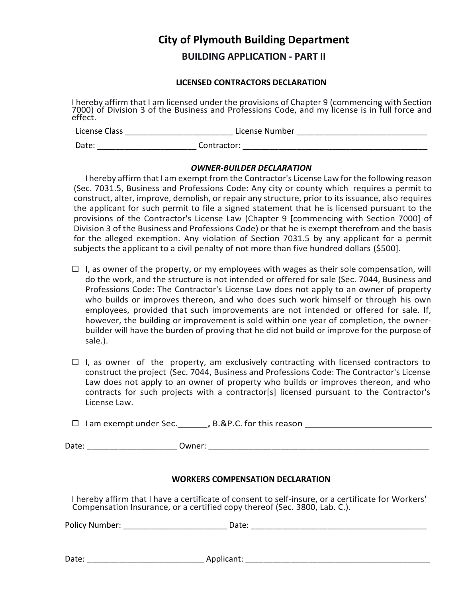## **City of Plymouth Building Department**

**BUILDING APPLICATION - PART II**

#### **LICENSED CONTRACTORS DECLARATION**

I hereby affirm that I am licensed under the provisions of Chapter 9 (commencing with Section 7000) of Division 3 of the Business and Professions Code, and my license is in full force and effect.

| License Class | License Number |
|---------------|----------------|
| Date:         | Contractor:    |

#### *OWNER-BUILDER DECLARATION*

I hereby affirm that I am exempt from the Contractor's License Law for the following reason (Sec. 7031.5, Business and Professions Code: Any city or county which requires a permit to construct, alter, improve, demolish, or repair any structure, prior to its issuance, also requires the applicant for such permit to file a signed statement that he is licensed pursuant to the provisions of the Contractor's License Law (Chapter 9 [commencing with Section 7000] of Division 3 of the Business and Professions Code) or that he is exempt therefrom and the basis for the alleged exemption. Any violation of Section 7031.5 by any applicant for a permit subjects the applicant to a civil penalty of not more than five hundred dollars (\$500].

- $\Box$  I, as owner of the property, or my employees with wages as their sole compensation, will do the work, and the structure is not intended or offered for sale (Sec. 7044, Business and Professions Code: The Contractor's License Law does not apply to an owner of property who builds or improves thereon, and who does such work himself or through his own employees, provided that such improvements are not intended or offered for sale. If, however, the building or improvement is sold within one year of completion, the ownerbuilder will have the burden of proving that he did not build or improve for the purpose of sale.).
- $\Box$  I, as owner of the property, am exclusively contracting with licensed contractors to construct the project (Sec. 7044, Business and Professions Code: The Contractor's License Law does not apply to an owner of property who builds or improves thereon, and who contracts for such projects with a contractor[s] licensed pursuant to the Contractor's License Law.

| $\Box$ I am exempt under Sec. | , B.&P.C. for this reason |  |
|-------------------------------|---------------------------|--|
|                               |                           |  |

Date: \_\_\_\_\_\_\_\_\_\_\_\_\_\_\_\_\_\_\_\_ Owner: \_\_\_\_\_\_\_\_\_\_\_\_\_\_\_\_\_\_\_\_\_\_\_\_\_\_\_\_\_\_\_\_\_\_\_\_\_\_\_\_\_\_\_\_\_\_\_\_\_

#### **WORKERS COMPENSATION DECLARATION**

I hereby affirm that I have a certificate of consent to self-insure, or a certificate for Workers' Compensation Insurance, or a certified copy thereof (Sec. 3800, Lab. C.).

| Policy Number: | Date: |  |
|----------------|-------|--|
|                |       |  |
|                |       |  |

Date: \_\_\_\_\_\_\_\_\_\_\_\_\_\_\_\_\_\_\_\_\_\_\_\_\_\_ Applicant: \_\_\_\_\_\_\_\_\_\_\_\_\_\_\_\_\_\_\_\_\_\_\_\_\_\_\_\_\_\_\_\_\_\_\_\_\_\_\_\_\_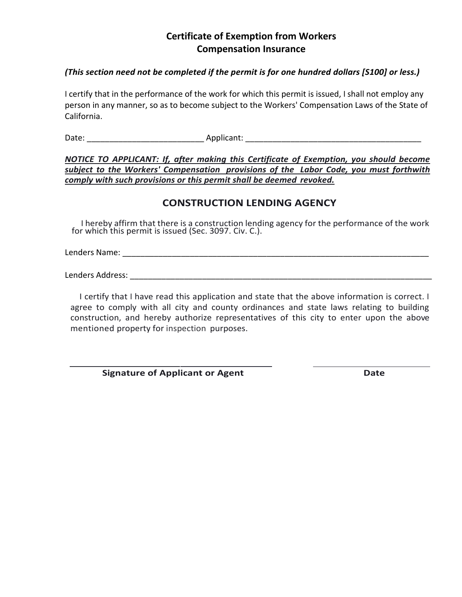### **Certificate of Exemption from Workers Compensation Insurance**

#### *(This section need not be completed if the permit is for one hundred dollars [S100] or less.)*

I certify that in the performance of the work for which this permit is issued, I shall not employ any person in any manner, so as to become subject to the Workers' Compensation Laws of the State of California.

Date: etc. applicant:  $\Delta$ pplicant:  $\Delta$ 

*NOTICE TO APPLICANT: If, after making this Certificate of Exemption, you should become subject to the Workers' Compensation provisions of the Labor Code, you must forthwith comply with such provisions or this permit shall be deemed revoked.*

### **CONSTRUCTION LENDING AGENCY**

I hereby affirm that there is a construction lending agency for the performance of the work for which this permit is issued (Sec. 3097. Civ. C.).

Lenders Name: \_\_\_\_\_\_\_\_\_\_\_\_\_\_\_\_\_\_\_\_\_\_\_\_\_\_\_\_\_\_\_\_\_\_\_\_\_\_\_\_\_\_\_\_\_\_\_\_\_\_\_\_\_\_\_\_\_\_\_\_\_\_\_\_\_\_\_\_

Lenders Address: \_\_\_\_\_\_\_\_\_\_\_\_\_\_\_\_\_\_\_\_\_\_\_\_\_\_\_\_\_\_\_\_\_\_\_\_\_\_\_\_\_\_\_\_\_\_\_\_\_\_\_\_\_\_\_\_\_\_\_\_\_\_\_\_\_\_\_

I certify that I have read this application and state that the above information is correct. I agree to comply with all city and county ordinances and state laws relating to building construction, and hereby authorize representatives of this city to enter upon the above mentioned property for inspection purposes.

**Signature of Applicant or Agent Community Community Community Community Community Community Community Community**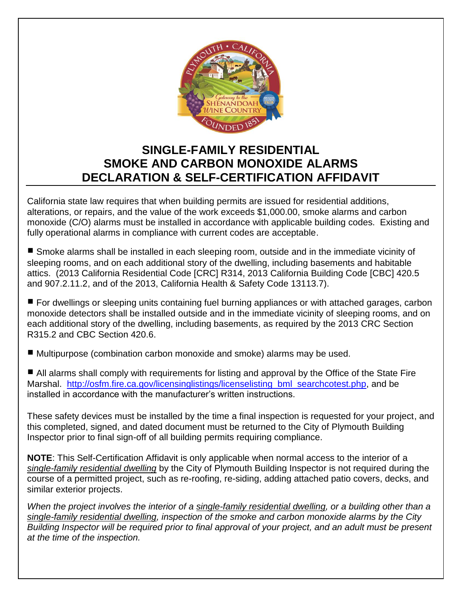

## **SINGLE-FAMILY RESIDENTIAL SMOKE AND CARBON MONOXIDE ALARMS DECLARATION & SELF-CERTIFICATION AFFIDAVIT**

California state law requires that when building permits are issued for residential additions, alterations, or repairs, and the value of the work exceeds \$1,000.00, smoke alarms and carbon monoxide (C/O) alarms must be installed in accordance with applicable building codes. Existing and fully operational alarms in compliance with current codes are acceptable.

■ Smoke alarms shall be installed in each sleeping room, outside and in the immediate vicinity of sleeping rooms, and on each additional story of the dwelling, including basements and habitable attics. (2013 California Residential Code [CRC] R314, 2013 California Building Code [CBC] 420.5 and 907.2.11.2, and of the 2013, California Health & Safety Code 13113.7).

 For dwellings or sleeping units containing fuel burning appliances or with attached garages, carbon monoxide detectors shall be installed outside and in the immediate vicinity of sleeping rooms, and on each additional story of the dwelling, including basements, as required by the 2013 CRC Section R315.2 and CBC Section 420.6.

■ Multipurpose (combination carbon monoxide and smoke) alarms may be used.

■ All alarms shall comply with requirements for listing and approval by the Office of the State Fire Marshal. http://osfm.fire.ca.gov/licensinglistings/licenselisting bml searchcotest.php, and be installed in accordance with the manufacturer's written instructions.

These safety devices must be installed by the time a final inspection is requested for your project, and this completed, signed, and dated document must be returned to the City of Plymouth Building Inspector prior to final sign-off of all building permits requiring compliance.

**NOTE**: This Self-Certification Affidavit is only applicable when normal access to the interior of a *single-family residential dwelling* by the City of Plymouth Building Inspector is not required during the course of a permitted project, such as re-roofing, re-siding, adding attached patio covers, decks, and similar exterior projects.

*When the project involves the interior of a single-family residential dwelling, or a building other than a single-family residential dwelling, inspection of the smoke and carbon monoxide alarms by the City Building Inspector will be required prior to final approval of your project, and an adult must be present at the time of the inspection.*